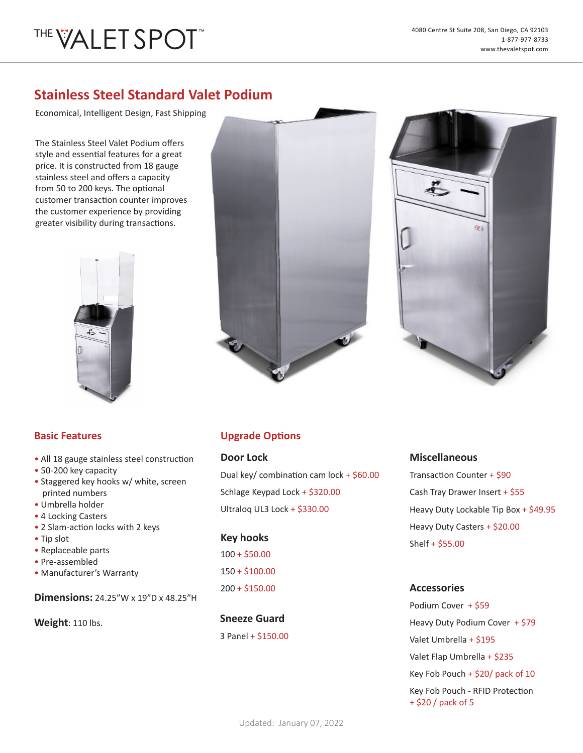# THE VALET SPOT

### **Stainless Steel Standard Valet Podium**

Economical, Intelligent Design, Fast Shipping

The Stainless Steel Valet Podium offers style and essential features for a great price. It is constructed from 18 gauge stainless steel and offers a capacity from 50 to 200 keys. The optional customer transaction counter improves the customer experience by providing greater visibility during transactions.







- • All 18 gauge stainless steel construction
- • 50-200 key capacity
- • Staggered key hooks w/ white, screen printed numbers
- • Umbrella holder
- • 4 Locking Casters
- • 2 Slam-action locks with 2 keys
- • Tip slot
- • Replaceable parts
- • Pre-assembled
- • Manufacturer's Warranty

**Dimensions:** 24.25"W x 19"D x 48.25"H

**Weight**: 110 lbs.

### **Basic Features Upgrade Options**

#### **Door Lock**

Dual key/ combination cam lock + \$60.00 Schlage Keypad Lock + \$320.00 Ultraloq UL3 Lock + \$330.00

#### **Key hooks**

100 + \$50.00 150 + \$100.00 200 + \$150.00

**Sneeze Guard** 3 Panel + \$150.00

#### **Miscellaneous**

Transaction Counter + \$90 Cash Tray Drawer Insert + \$55 Heavy Duty Lockable Tip Box + \$49.95 Heavy Duty Casters + \$20.00 Shelf + \$55.00

#### **Accessories**

Podium Cover + \$59 Heavy Duty Podium Cover + \$79 Valet Umbrella + \$195 Valet Flap Umbrella + \$235 Key Fob Pouch + \$20/ pack of 10 Key Fob Pouch - RFID Protection + \$20 / pack of 5